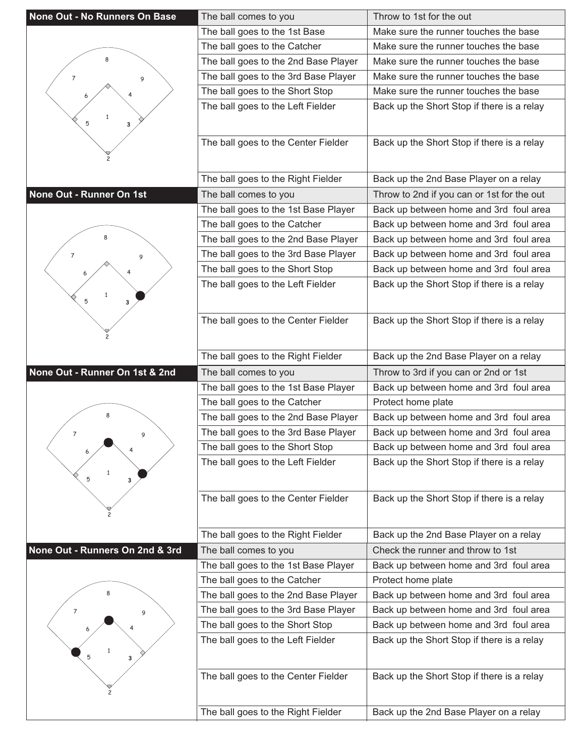| <b>None Out - No Runners On Base</b> | The ball comes to you                | Throw to 1st for the out                   |
|--------------------------------------|--------------------------------------|--------------------------------------------|
|                                      | The ball goes to the 1st Base        | Make sure the runner touches the base      |
|                                      | The ball goes to the Catcher         | Make sure the runner touches the base      |
| 8                                    | The ball goes to the 2nd Base Player | Make sure the runner touches the base      |
| 7<br>9                               | The ball goes to the 3rd Base Player | Make sure the runner touches the base      |
|                                      | The ball goes to the Short Stop      | Make sure the runner touches the base      |
|                                      | The ball goes to the Left Fielder    | Back up the Short Stop if there is a relay |
| 5<br>3                               |                                      |                                            |
|                                      | The ball goes to the Center Fielder  | Back up the Short Stop if there is a relay |
|                                      |                                      |                                            |
|                                      |                                      |                                            |
|                                      | The ball goes to the Right Fielder   | Back up the 2nd Base Player on a relay     |
| None Out - Runner On 1st             | The ball comes to you                | Throw to 2nd if you can or 1st for the out |
|                                      | The ball goes to the 1st Base Player | Back up between home and 3rd foul area     |
|                                      | The ball goes to the Catcher         | Back up between home and 3rd foul area     |
|                                      | The ball goes to the 2nd Base Player | Back up between home and 3rd foul area     |
| $\overline{7}$<br>9                  | The ball goes to the 3rd Base Player | Back up between home and 3rd foul area     |
|                                      | The ball goes to the Short Stop      | Back up between home and 3rd foul area     |
|                                      | The ball goes to the Left Fielder    | Back up the Short Stop if there is a relay |
| 5<br>3                               |                                      |                                            |
|                                      | The ball goes to the Center Fielder  | Back up the Short Stop if there is a relay |
|                                      |                                      |                                            |
|                                      |                                      |                                            |
|                                      | The ball goes to the Right Fielder   | Back up the 2nd Base Player on a relay     |
|                                      |                                      |                                            |
| None Out - Runner On 1st & 2nd       | The ball comes to you                | Throw to 3rd if you can or 2nd or 1st      |
|                                      | The ball goes to the 1st Base Player | Back up between home and 3rd foul area     |
|                                      | The ball goes to the Catcher         | Protect home plate                         |
| ጸ                                    | The ball goes to the 2nd Base Player | Back up between home and 3rd foul area     |
| $\overline{7}$<br>9                  | The ball goes to the 3rd Base Player | Back up between home and 3rd foul area     |
|                                      | The ball goes to the Short Stop      | Back up between home and 3rd foul area     |
|                                      | The ball goes to the Left Fielder    | Back up the Short Stop if there is a relay |
| $\mathbf{1}$<br>5<br>3               |                                      |                                            |
|                                      | The ball goes to the Center Fielder  | Back up the Short Stop if there is a relay |
|                                      |                                      |                                            |
|                                      |                                      |                                            |
|                                      | The ball goes to the Right Fielder   | Back up the 2nd Base Player on a relay     |
| None Out - Runners On 2nd & 3rd      | The ball comes to you                | Check the runner and throw to 1st          |
|                                      | The ball goes to the 1st Base Player | Back up between home and 3rd foul area     |
|                                      | The ball goes to the Catcher         | Protect home plate                         |
|                                      | The ball goes to the 2nd Base Player | Back up between home and 3rd foul area     |
| 7<br>9                               | The ball goes to the 3rd Base Player | Back up between home and 3rd foul area     |
|                                      | The ball goes to the Short Stop      | Back up between home and 3rd foul area     |
|                                      | The ball goes to the Left Fielder    | Back up the Short Stop if there is a relay |
| 5<br>3                               |                                      |                                            |
|                                      | The ball goes to the Center Fielder  | Back up the Short Stop if there is a relay |
|                                      |                                      |                                            |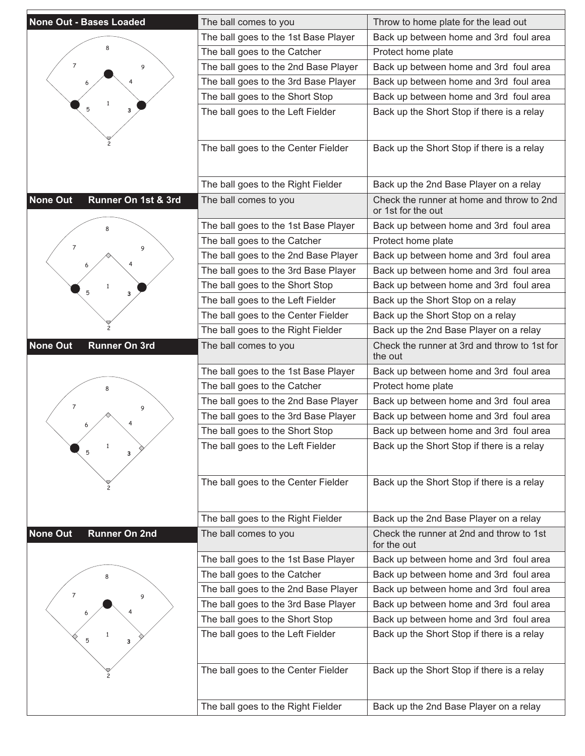| <b>None Out - Bases Loaded</b>          | The ball comes to you                | Throw to home plate for the lead out                            |
|-----------------------------------------|--------------------------------------|-----------------------------------------------------------------|
|                                         | The ball goes to the 1st Base Player | Back up between home and 3rd foul area                          |
|                                         | The ball goes to the Catcher         | Protect home plate                                              |
| $\overline{7}$<br>9                     | The ball goes to the 2nd Base Player | Back up between home and 3rd foul area                          |
|                                         | The ball goes to the 3rd Base Player | Back up between home and 3rd foul area                          |
|                                         | The ball goes to the Short Stop      | Back up between home and 3rd foul area                          |
| $\mathbf{1}$<br>5<br>3                  | The ball goes to the Left Fielder    | Back up the Short Stop if there is a relay                      |
|                                         |                                      |                                                                 |
|                                         | The ball goes to the Center Fielder  | Back up the Short Stop if there is a relay                      |
|                                         | The ball goes to the Right Fielder   | Back up the 2nd Base Player on a relay                          |
| <b>None Out</b><br>Runner On 1st & 3rd  | The ball comes to you                | Check the runner at home and throw to 2nd<br>or 1st for the out |
|                                         | The ball goes to the 1st Base Player | Back up between home and 3rd foul area                          |
| 7                                       | The ball goes to the Catcher         | Protect home plate                                              |
| 9                                       | The ball goes to the 2nd Base Player | Back up between home and 3rd foul area                          |
|                                         | The ball goes to the 3rd Base Player | Back up between home and 3rd foul area                          |
| 1                                       | The ball goes to the Short Stop      | Back up between home and 3rd foul area                          |
| 5<br>3                                  | The ball goes to the Left Fielder    | Back up the Short Stop on a relay                               |
|                                         | The ball goes to the Center Fielder  | Back up the Short Stop on a relay                               |
|                                         | The ball goes to the Right Fielder   | Back up the 2nd Base Player on a relay                          |
| <b>None Out</b><br><b>Runner On 3rd</b> | The ball comes to you                | Check the runner at 3rd and throw to 1st for<br>the out         |
|                                         | The ball goes to the 1st Base Player | Back up between home and 3rd foul area                          |
|                                         | The ball goes to the Catcher         | Protect home plate                                              |
| 7<br>9                                  | The ball goes to the 2nd Base Player | Back up between home and 3rd foul area                          |
|                                         | The ball goes to the 3rd Base Player | Back up between home and 3rd foul area                          |
|                                         | The ball goes to the Short Stop      | Back up between home and 3rd foul area                          |
| $\mathbf{1}$<br>5<br>3                  | The ball goes to the Left Fielder    | Back up the Short Stop if there is a relay                      |
|                                         | The ball goes to the Center Fielder  | Back up the Short Stop if there is a relay                      |
|                                         | The ball goes to the Right Fielder   | Back up the 2nd Base Player on a relay                          |
| <b>None Out</b><br><b>Runner On 2nd</b> | The ball comes to you                | Check the runner at 2nd and throw to 1st<br>for the out         |
|                                         | The ball goes to the 1st Base Player | Back up between home and 3rd foul area                          |
|                                         | The ball goes to the Catcher         | Back up between home and 3rd foul area                          |
| 7                                       | The ball goes to the 2nd Base Player | Back up between home and 3rd foul area                          |
| 9                                       | The ball goes to the 3rd Base Player | Back up between home and 3rd foul area                          |
|                                         | The ball goes to the Short Stop      | Back up between home and 3rd foul area                          |
| 5<br>3                                  | The ball goes to the Left Fielder    | Back up the Short Stop if there is a relay                      |
|                                         | The ball goes to the Center Fielder  | Back up the Short Stop if there is a relay                      |
|                                         |                                      |                                                                 |
|                                         | The ball goes to the Right Fielder   | Back up the 2nd Base Player on a relay                          |

E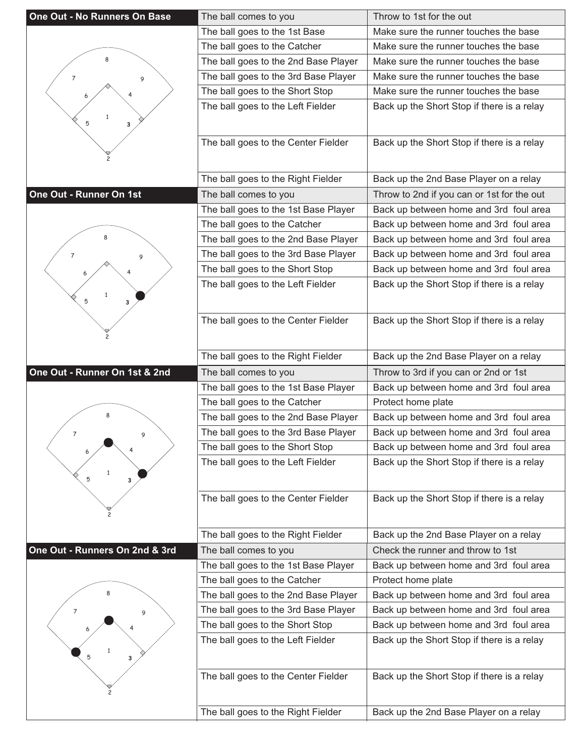| One Out - No Runners On Base   | The ball comes to you                | Throw to 1st for the out                   |
|--------------------------------|--------------------------------------|--------------------------------------------|
|                                | The ball goes to the 1st Base        | Make sure the runner touches the base      |
|                                | The ball goes to the Catcher         | Make sure the runner touches the base      |
| 8                              | The ball goes to the 2nd Base Player | Make sure the runner touches the base      |
| $\overline{7}$<br>9            | The ball goes to the 3rd Base Player | Make sure the runner touches the base      |
|                                | The ball goes to the Short Stop      | Make sure the runner touches the base      |
|                                | The ball goes to the Left Fielder    | Back up the Short Stop if there is a relay |
| 5<br>3                         |                                      |                                            |
|                                |                                      |                                            |
|                                | The ball goes to the Center Fielder  | Back up the Short Stop if there is a relay |
|                                |                                      |                                            |
|                                | The ball goes to the Right Fielder   | Back up the 2nd Base Player on a relay     |
| One Out - Runner On 1st        | The ball comes to you                | Throw to 2nd if you can or 1st for the out |
|                                | The ball goes to the 1st Base Player | Back up between home and 3rd foul area     |
|                                | The ball goes to the Catcher         | Back up between home and 3rd foul area     |
|                                | The ball goes to the 2nd Base Player | Back up between home and 3rd foul area     |
| $\overline{7}$<br>9            | The ball goes to the 3rd Base Player | Back up between home and 3rd foul area     |
|                                | The ball goes to the Short Stop      | Back up between home and 3rd foul area     |
|                                | The ball goes to the Left Fielder    | Back up the Short Stop if there is a relay |
| $\mathbf{1}$<br>5<br>3         |                                      |                                            |
|                                |                                      |                                            |
|                                | The ball goes to the Center Fielder  | Back up the Short Stop if there is a relay |
|                                |                                      |                                            |
|                                | The ball goes to the Right Fielder   | Back up the 2nd Base Player on a relay     |
|                                |                                      |                                            |
| One Out - Runner On 1st & 2nd  | The ball comes to you                | Throw to 3rd if you can or 2nd or 1st      |
|                                | The ball goes to the 1st Base Player | Back up between home and 3rd foul area     |
|                                | The ball goes to the Catcher         | Protect home plate                         |
| 8                              | The ball goes to the 2nd Base Player | Back up between home and 3rd foul area     |
| $\overline{7}$<br>9            | The ball goes to the 3rd Base Player | Back up between home and 3rd foul area     |
|                                | The ball goes to the Short Stop      | Back up between home and 3rd foul area     |
|                                | The ball goes to the Left Fielder    | Back up the Short Stop if there is a relay |
| $\mathbf{1}$<br>5<br>3         |                                      |                                            |
|                                |                                      |                                            |
|                                | The ball goes to the Center Fielder  | Back up the Short Stop if there is a relay |
|                                |                                      |                                            |
|                                | The ball goes to the Right Fielder   | Back up the 2nd Base Player on a relay     |
| One Out - Runners On 2nd & 3rd | The ball comes to you                | Check the runner and throw to 1st          |
|                                | The ball goes to the 1st Base Player | Back up between home and 3rd foul area     |
|                                | The ball goes to the Catcher         | Protect home plate                         |
|                                | The ball goes to the 2nd Base Player | Back up between home and 3rd foul area     |
| $\overline{7}$<br>9            | The ball goes to the 3rd Base Player | Back up between home and 3rd foul area     |
|                                | The ball goes to the Short Stop      | Back up between home and 3rd foul area     |
|                                | The ball goes to the Left Fielder    | Back up the Short Stop if there is a relay |
| 5<br>з                         |                                      |                                            |
|                                | The ball goes to the Center Fielder  | Back up the Short Stop if there is a relay |
|                                |                                      |                                            |
|                                | The ball goes to the Right Fielder   | Back up the 2nd Base Player on a relay     |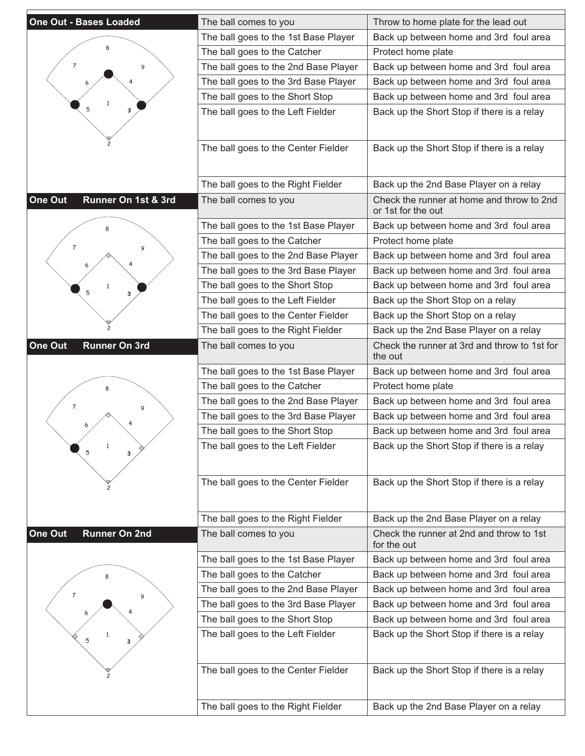| <b>One Out - Bases Loaded</b>   | The ball comes to you                | Throw to home plate for the lead out                            |
|---------------------------------|--------------------------------------|-----------------------------------------------------------------|
|                                 | The ball goes to the 1st Base Player | Back up between home and 3rd foul area                          |
|                                 | The ball goes to the Catcher         | Protect home plate                                              |
| $\overline{7}$<br>9             | The ball goes to the 2nd Base Player | Back up between home and 3rd foul area                          |
|                                 | The ball goes to the 3rd Base Player | Back up between home and 3rd foul area                          |
|                                 | The ball goes to the Short Stop      | Back up between home and 3rd foul area                          |
| 5<br>3                          | The ball goes to the Left Fielder    | Back up the Short Stop if there is a relay                      |
|                                 |                                      |                                                                 |
|                                 | The ball goes to the Center Fielder  | Back up the Short Stop if there is a relay                      |
|                                 | The ball goes to the Right Fielder   | Back up the 2nd Base Player on a relay                          |
| One Out<br>Runner On 1st & 3rd  | The ball comes to you                | Check the runner at home and throw to 2nd<br>or 1st for the out |
|                                 | The ball goes to the 1st Base Player | Back up between home and 3rd foul area                          |
|                                 | The ball goes to the Catcher         | Protect home plate                                              |
| 7<br>9                          | The ball goes to the 2nd Base Player | Back up between home and 3rd foul area                          |
|                                 | The ball goes to the 3rd Base Player | Back up between home and 3rd foul area                          |
| 1                               | The ball goes to the Short Stop      | Back up between home and 3rd foul area                          |
| 5<br>з                          | The ball goes to the Left Fielder    | Back up the Short Stop on a relay                               |
|                                 | The ball goes to the Center Fielder  | Back up the Short Stop on a relay                               |
|                                 | The ball goes to the Right Fielder   | Back up the 2nd Base Player on a relay                          |
| One Out<br><b>Runner On 3rd</b> | The ball comes to you                | Check the runner at 3rd and throw to 1st for<br>the out         |
|                                 | The ball goes to the 1st Base Player | Back up between home and 3rd foul area                          |
|                                 | The ball goes to the Catcher         | Protect home plate                                              |
| 7<br>9                          | The ball goes to the 2nd Base Player | Back up between home and 3rd foul area                          |
|                                 | The ball goes to the 3rd Base Player | Back up between home and 3rd foul area                          |
|                                 | The ball goes to the Short Stop      | Back up between home and 3rd foul area                          |
| 1<br>5<br>3                     | The ball goes to the Left Fielder    | Back up the Short Stop if there is a relay                      |
|                                 | The ball goes to the Center Fielder  | Back up the Short Stop if there is a relay                      |
|                                 | The ball goes to the Right Fielder   | Back up the 2nd Base Player on a relay                          |
| One Out<br><b>Runner On 2nd</b> | The ball comes to you                | Check the runner at 2nd and throw to 1st<br>for the out         |
|                                 | The ball goes to the 1st Base Player | Back up between home and 3rd foul area                          |
|                                 | The ball goes to the Catcher         | Back up between home and 3rd foul area                          |
| 7                               | The ball goes to the 2nd Base Player | Back up between home and 3rd foul area                          |
| 9                               | The ball goes to the 3rd Base Player | Back up between home and 3rd foul area                          |
|                                 | The ball goes to the Short Stop      | Back up between home and 3rd foul area                          |
| 5<br>з                          | The ball goes to the Left Fielder    | Back up the Short Stop if there is a relay                      |
|                                 | The ball goes to the Center Fielder  | Back up the Short Stop if there is a relay                      |
|                                 |                                      |                                                                 |
|                                 | The ball goes to the Right Fielder   | Back up the 2nd Base Player on a relay                          |

E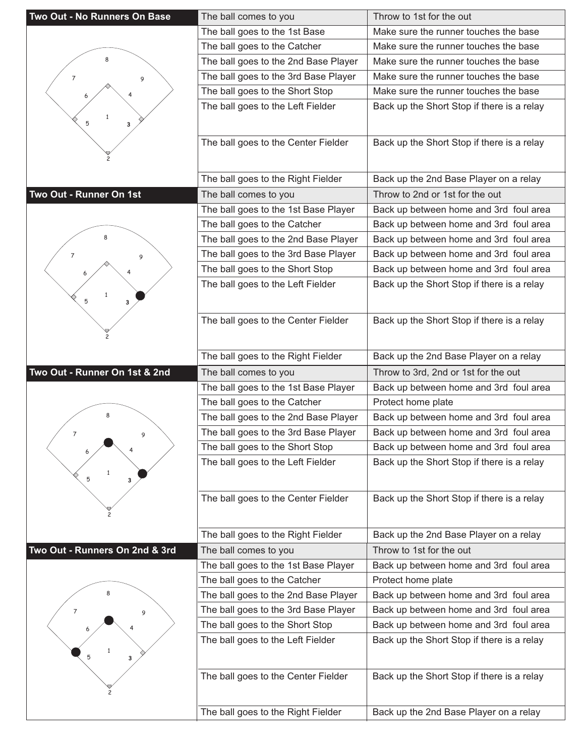| Two Out - No Runners On Base   | The ball comes to you                                                | Throw to 1st for the out                   |
|--------------------------------|----------------------------------------------------------------------|--------------------------------------------|
|                                | The ball goes to the 1st Base                                        | Make sure the runner touches the base      |
|                                | The ball goes to the Catcher                                         | Make sure the runner touches the base      |
| ጸ                              | The ball goes to the 2nd Base Player                                 | Make sure the runner touches the base      |
| 7<br>9                         | The ball goes to the 3rd Base Player                                 | Make sure the runner touches the base      |
|                                | The ball goes to the Short Stop                                      | Make sure the runner touches the base      |
|                                | The ball goes to the Left Fielder                                    | Back up the Short Stop if there is a relay |
| 5<br>3                         |                                                                      |                                            |
|                                |                                                                      |                                            |
|                                | The ball goes to the Center Fielder                                  | Back up the Short Stop if there is a relay |
|                                |                                                                      |                                            |
|                                | The ball goes to the Right Fielder                                   | Back up the 2nd Base Player on a relay     |
| Two Out - Runner On 1st        | The ball comes to you                                                | Throw to 2nd or 1st for the out            |
|                                | The ball goes to the 1st Base Player                                 | Back up between home and 3rd foul area     |
|                                | The ball goes to the Catcher                                         | Back up between home and 3rd foul area     |
|                                | The ball goes to the 2nd Base Player                                 | Back up between home and 3rd foul area     |
| $\overline{7}$<br>9            | The ball goes to the 3rd Base Player                                 | Back up between home and 3rd foul area     |
|                                | The ball goes to the Short Stop                                      | Back up between home and 3rd foul area     |
|                                | The ball goes to the Left Fielder                                    | Back up the Short Stop if there is a relay |
| $\mathbf{1}$<br>5              |                                                                      |                                            |
| 3                              |                                                                      |                                            |
|                                | The ball goes to the Center Fielder                                  | Back up the Short Stop if there is a relay |
|                                |                                                                      |                                            |
|                                | The ball goes to the Right Fielder                                   | Back up the 2nd Base Player on a relay     |
|                                |                                                                      |                                            |
| Two Out - Runner On 1st & 2nd  | The ball comes to you                                                | Throw to 3rd, 2nd or 1st for the out       |
|                                |                                                                      | Back up between home and 3rd foul area     |
|                                | The ball goes to the 1st Base Player<br>The ball goes to the Catcher | Protect home plate                         |
| 8                              | The ball goes to the 2nd Base Player                                 | Back up between home and 3rd foul area     |
| $\overline{7}$                 | The ball goes to the 3rd Base Player                                 | Back up between home and 3rd foul area     |
| 9                              | The ball goes to the Short Stop                                      | Back up between home and 3rd foul area     |
|                                | The ball goes to the Left Fielder                                    | Back up the Short Stop if there is a relay |
| $\mathbf{1}$<br>5<br>3         |                                                                      |                                            |
|                                |                                                                      |                                            |
|                                | The ball goes to the Center Fielder                                  | Back up the Short Stop if there is a relay |
|                                |                                                                      |                                            |
|                                | The ball goes to the Right Fielder                                   | Back up the 2nd Base Player on a relay     |
| Two Out - Runners On 2nd & 3rd | The ball comes to you                                                | Throw to 1st for the out                   |
|                                | The ball goes to the 1st Base Player                                 | Back up between home and 3rd foul area     |
|                                | The ball goes to the Catcher                                         | Protect home plate                         |
|                                | The ball goes to the 2nd Base Player                                 | Back up between home and 3rd foul area     |
| $\overline{7}$<br>9            | The ball goes to the 3rd Base Player                                 | Back up between home and 3rd foul area     |
|                                | The ball goes to the Short Stop                                      | Back up between home and 3rd foul area     |
|                                | The ball goes to the Left Fielder                                    | Back up the Short Stop if there is a relay |
| 5<br>з                         |                                                                      |                                            |
|                                |                                                                      |                                            |
|                                | The ball goes to the Center Fielder                                  | Back up the Short Stop if there is a relay |
|                                | The ball goes to the Right Fielder                                   | Back up the 2nd Base Player on a relay     |